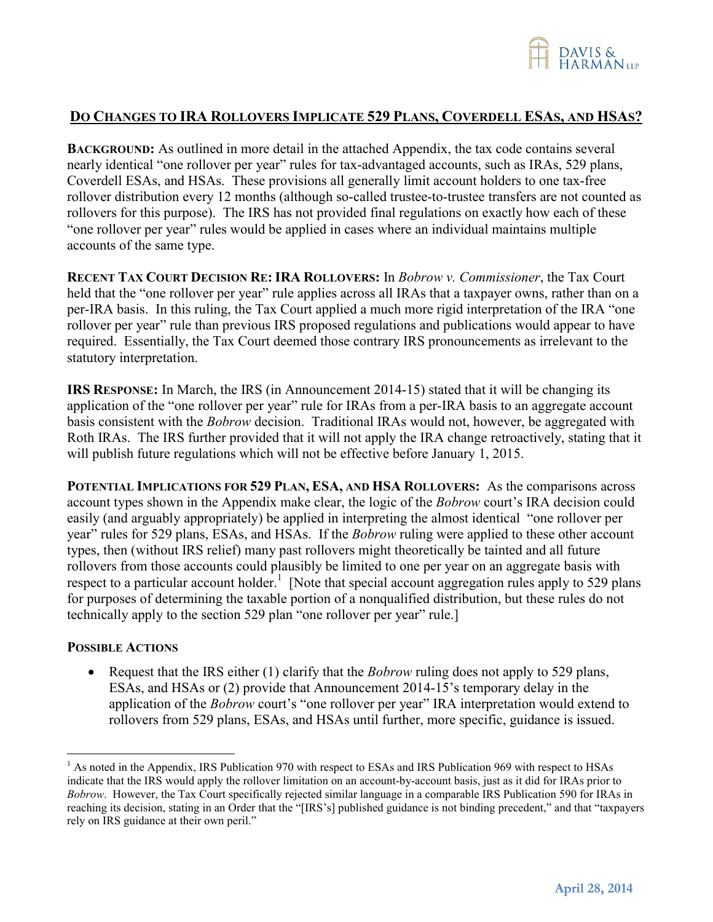

## DO CHANGES TO IRA ROLLOVERS IMPLICATE 529 PLANS, COVERDELL ESAS, AND HSAS?

**BACKGROUND:** As outlined in more detail in the attached Appendix, the tax code contains several nearly identical "one rollover per year" rules for tax-advantaged accounts, such as IRAs, 529 plans, Coverdell ESAs, and HSAs. These provisions all generally limit account holders to one tax-free rollover distribution every 12 months (although so-called trustee-to-trustee transfers are not counted as rollovers for this purpose). The IRS has not provided final regulations on exactly how each of these "one rollover per year" rules would be applied in cases where an individual maintains multiple accounts of the same type.

**RECENT TAX COURT DECISION RE: IRA ROLLOVERS:** In *Bobrow v. Commissioner*, the Tax Court held that the "one rollover per year" rule applies across all IRAs that a taxpayer owns, rather than on a per-IRA basis. In this ruling, the Tax Court applied a much more rigid interpretation of the IRA "one rollover per year" rule than previous IRS proposed regulations and publications would appear to have required. Essentially, the Tax Court deemed those contrary IRS pronouncements as irrelevant to the statutory interpretation.

**IRS RESPONSE:** In March, the IRS (in Announcement 2014-15) stated that it will be changing its application of the "one rollover per year" rule for IRAs from a per-IRA basis to an aggregate account basis consistent with the *Bobrow* decision. Traditional IRAs would not, however, be aggregated with Roth IRAs. The IRS further provided that it will not apply the IRA change retroactively, stating that it will publish future regulations which will not be effective before January 1, 2015.

**POTENTIAL IMPLICATIONS FOR 529 PLAN, ESA, AND HSA ROLLOVERS:** As the comparisons across account types shown in the Appendix make clear, the logic of the *Bobrow* court's IRA decision could easily (and arguably appropriately) be applied in interpreting the almost identical "one rollover per year" rules for 529 plans, ESAs, and HSAs. If the *Bobrow* ruling were applied to these other account types, then (without IRS relief) many past rollovers might theoretically be tainted and all future rollovers from those accounts could plausibly be limited to one per year on an aggregate basis with respect to a particular account holder.<sup>1</sup> [Note that special account aggregation rules apply to 529 plans for purposes of determining the taxable portion of a nonqualified distribution, but these rules do not technically apply to the section 529 plan "one rollover per year" rule.]

## **POSSIBLE ACTIONS**

1

• Request that the IRS either (1) clarify that the *Bobrow* ruling does not apply to 529 plans, ESAs, and HSAs or (2) provide that Announcement 2014-15's temporary delay in the application of the *Bobrow* court's "one rollover per year" IRA interpretation would extend to rollovers from 529 plans, ESAs, and HSAs until further, more specific, guidance is issued.

<sup>&</sup>lt;sup>1</sup> As noted in the Appendix, IRS Publication 970 with respect to ESAs and IRS Publication 969 with respect to HSAs indicate that the IRS would apply the rollover limitation on an account-by-account basis, just as it did for IRAs prior to *Bobrow*. However, the Tax Court specifically rejected similar language in a comparable IRS Publication 590 for IRAs in reaching its decision, stating in an Order that the "[IRS's] published guidance is not binding precedent," and that "taxpayers rely on IRS guidance at their own peril."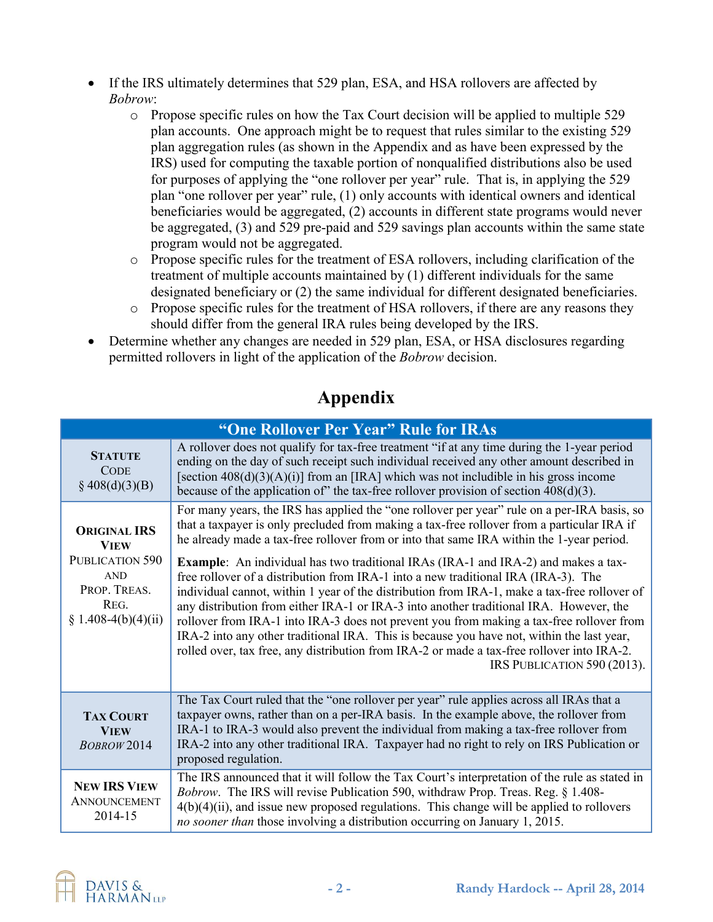- If the IRS ultimately determines that 529 plan, ESA, and HSA rollovers are affected by *Bobrow*:
	- o Propose specific rules on how the Tax Court decision will be applied to multiple 529 plan accounts. One approach might be to request that rules similar to the existing 529 plan aggregation rules (as shown in the Appendix and as have been expressed by the IRS) used for computing the taxable portion of nonqualified distributions also be used for purposes of applying the "one rollover per year" rule. That is, in applying the 529 plan "one rollover per year" rule, (1) only accounts with identical owners and identical beneficiaries would be aggregated, (2) accounts in different state programs would never be aggregated, (3) and 529 pre-paid and 529 savings plan accounts within the same state program would not be aggregated.
	- o Propose specific rules for the treatment of ESA rollovers, including clarification of the treatment of multiple accounts maintained by (1) different individuals for the same designated beneficiary or (2) the same individual for different designated beneficiaries.
	- o Propose specific rules for the treatment of HSA rollovers, if there are any reasons they should differ from the general IRA rules being developed by the IRS.
- Determine whether any changes are needed in 529 plan, ESA, or HSA disclosures regarding permitted rollovers in light of the application of the *Bobrow* decision.

| "One Rollover Per Year" Rule for IRAs                                                                              |                                                                                                                                                                                                                                                                                                                                                                                                                                                                                                                                                                                                                                                                                                                                                                                                                                                                                                                                                                                          |  |
|--------------------------------------------------------------------------------------------------------------------|------------------------------------------------------------------------------------------------------------------------------------------------------------------------------------------------------------------------------------------------------------------------------------------------------------------------------------------------------------------------------------------------------------------------------------------------------------------------------------------------------------------------------------------------------------------------------------------------------------------------------------------------------------------------------------------------------------------------------------------------------------------------------------------------------------------------------------------------------------------------------------------------------------------------------------------------------------------------------------------|--|
| <b>STATUTE</b><br><b>CODE</b><br>$§$ 408(d)(3)(B)                                                                  | A rollover does not qualify for tax-free treatment "if at any time during the 1-year period<br>ending on the day of such receipt such individual received any other amount described in<br>[section $408(d)(3)(A)(i)$ ] from an [IRA] which was not includible in his gross income<br>because of the application of" the tax-free rollover provision of section $408(d)(3)$ .                                                                                                                                                                                                                                                                                                                                                                                                                                                                                                                                                                                                            |  |
| <b>ORIGINAL IRS</b><br><b>VIEW</b><br>PUBLICATION 590<br><b>AND</b><br>PROP. TREAS.<br>REG.<br>§ 1.408-4(b)(4)(ii) | For many years, the IRS has applied the "one rollover per year" rule on a per-IRA basis, so<br>that a taxpayer is only precluded from making a tax-free rollover from a particular IRA if<br>he already made a tax-free rollover from or into that same IRA within the 1-year period.<br><b>Example:</b> An individual has two traditional IRAs (IRA-1 and IRA-2) and makes a tax-<br>free rollover of a distribution from IRA-1 into a new traditional IRA (IRA-3). The<br>individual cannot, within 1 year of the distribution from IRA-1, make a tax-free rollover of<br>any distribution from either IRA-1 or IRA-3 into another traditional IRA. However, the<br>rollover from IRA-1 into IRA-3 does not prevent you from making a tax-free rollover from<br>IRA-2 into any other traditional IRA. This is because you have not, within the last year,<br>rolled over, tax free, any distribution from IRA-2 or made a tax-free rollover into IRA-2.<br>IRS PUBLICATION 590 (2013). |  |
| <b>TAX COURT</b><br><b>VIEW</b><br><b>BOBROW 2014</b>                                                              | The Tax Court ruled that the "one rollover per year" rule applies across all IRAs that a<br>taxpayer owns, rather than on a per-IRA basis. In the example above, the rollover from<br>IRA-1 to IRA-3 would also prevent the individual from making a tax-free rollover from<br>IRA-2 into any other traditional IRA. Taxpayer had no right to rely on IRS Publication or<br>proposed regulation.                                                                                                                                                                                                                                                                                                                                                                                                                                                                                                                                                                                         |  |
| <b>NEW IRS VIEW</b><br>ANNOUNCEMENT<br>2014-15                                                                     | The IRS announced that it will follow the Tax Court's interpretation of the rule as stated in<br><i>Bobrow.</i> The IRS will revise Publication 590, withdraw Prop. Treas. Reg. § 1.408-<br>$4(b)(4)(ii)$ , and issue new proposed regulations. This change will be applied to rollovers<br>no sooner than those involving a distribution occurring on January 1, 2015.                                                                                                                                                                                                                                                                                                                                                                                                                                                                                                                                                                                                                  |  |

## **Appendix**